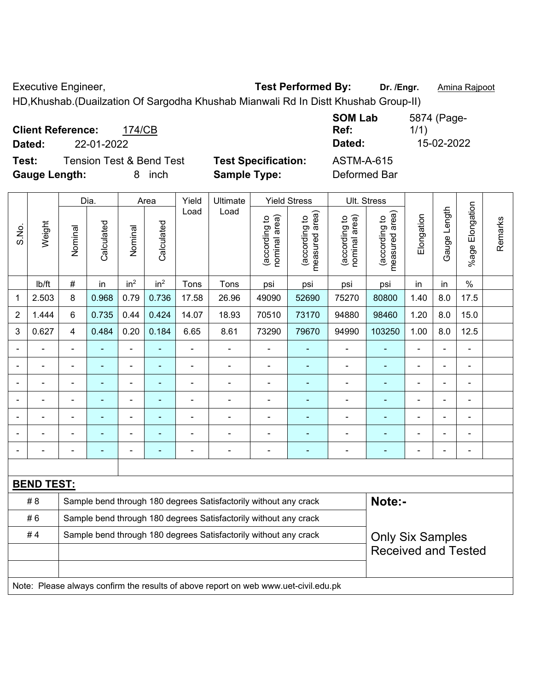Executive Engineer, **Test Performed By:** Dr. /Engr. **Amina Rajpoot Executive Engineer**,

HD,Khushab.(Duailzation Of Sargodha Khushab Mianwali Rd In Distt Khushab Group-II)

| <b>Client Reference:</b><br>174/CB<br>22-01-2022 |                            | <b>SOM Lab</b><br>Ref:<br>Dated: | 5874 (Page-<br>1/1)<br>15-02-2022 |
|--------------------------------------------------|----------------------------|----------------------------------|-----------------------------------|
| Dated:                                           |                            |                                  |                                   |
| <b>Tension Test &amp; Bend Test</b><br>Test:     | <b>Test Specification:</b> | ASTM-A-615                       |                                   |
| <b>Gauge Length:</b><br>inch<br>8                | <b>Sample Type:</b>        | Deformed Bar                     |                                   |

|                |                   |                | Dia.           |                              | Area            | Yield                                                            | Ultimate                                                                            |                                | <b>Yield Stress</b>             |                                | Ult. Stress                     |                |              |                      |         |
|----------------|-------------------|----------------|----------------|------------------------------|-----------------|------------------------------------------------------------------|-------------------------------------------------------------------------------------|--------------------------------|---------------------------------|--------------------------------|---------------------------------|----------------|--------------|----------------------|---------|
| S.No.          | Weight            | Nominal        | Calculated     | Nominal                      | Calculated      | Load                                                             | Load                                                                                | (according to<br>nominal area) | (according to<br>measured area) | (according to<br>nominal area) | (according to<br>measured area) | Elongation     | Gauge Length | Elongation<br>%age I | Remarks |
|                | lb/ft             | $\#$           | in             | in <sup>2</sup>              | in <sup>2</sup> | Tons                                                             | Tons                                                                                | psi                            | psi                             | psi                            | psi                             | in             | in           | $\frac{0}{0}$        |         |
| 1              | 2.503             | 8              | 0.968          | 0.79                         | 0.736           | 17.58                                                            | 26.96                                                                               | 49090                          | 52690                           | 75270                          | 80800                           | 1.40           | 8.0          | 17.5                 |         |
| $\overline{2}$ | 1.444             | 6              | 0.735          | 0.44                         | 0.424           | 14.07                                                            | 18.93                                                                               | 70510                          | 73170                           | 94880                          | 98460                           | 1.20           | 8.0          | 15.0                 |         |
| 3              | 0.627             | $\overline{4}$ | 0.484          | 0.20                         | 0.184           | 6.65                                                             | 8.61                                                                                | 73290                          | 79670                           | 94990                          | 103250                          | 1.00           | 8.0          | 12.5                 |         |
|                |                   | ÷              |                | ÷,                           |                 | $\blacksquare$                                                   | $\frac{1}{2}$                                                                       | $\blacksquare$                 | $\blacksquare$                  | $\qquad \qquad \blacksquare$   | ÷,                              | $\blacksquare$ |              | ÷,                   |         |
|                |                   | $\blacksquare$ | $\blacksquare$ | $\qquad \qquad \blacksquare$ | ÷               | $\blacksquare$                                                   | $\blacksquare$                                                                      | $\overline{\phantom{a}}$       | $\blacksquare$                  | $\overline{\phantom{a}}$       | ÷,                              | $\blacksquare$ | ÷            | $\blacksquare$       |         |
|                |                   | ÷              | $\blacksquare$ | $\blacksquare$               | $\overline{a}$  | ÷,                                                               | ÷                                                                                   | $\blacksquare$                 | $\blacksquare$                  | ÷                              | ÷,                              | ÷              |              | $\blacksquare$       |         |
|                |                   | Ē,             | ÷              | ÷                            |                 |                                                                  | ä,                                                                                  | $\blacksquare$                 | ÷                               | ÷,                             | ä,                              | ä,             |              | $\blacksquare$       |         |
|                |                   |                |                | $\blacksquare$               |                 |                                                                  |                                                                                     |                                | ۰                               | ۰                              |                                 |                |              | $\blacksquare$       |         |
|                |                   |                |                | ۰                            |                 |                                                                  | $\blacksquare$                                                                      |                                | ۰                               | $\blacksquare$                 | ÷                               |                |              | $\blacksquare$       |         |
|                |                   |                |                | $\blacksquare$               |                 |                                                                  | $\blacksquare$                                                                      | $\blacksquare$                 | ÷                               | ۰                              | ÷                               | $\blacksquare$ |              | $\blacksquare$       |         |
|                |                   |                |                |                              |                 |                                                                  |                                                                                     |                                |                                 |                                |                                 |                |              |                      |         |
|                | <b>BEND TEST:</b> |                |                |                              |                 |                                                                  |                                                                                     |                                |                                 |                                |                                 |                |              |                      |         |
|                | #8                |                |                |                              |                 |                                                                  | Sample bend through 180 degrees Satisfactorily without any crack                    |                                |                                 |                                | Note:-                          |                |              |                      |         |
|                | #6                |                |                |                              |                 | Sample bend through 180 degrees Satisfactorily without any crack |                                                                                     |                                |                                 |                                |                                 |                |              |                      |         |
|                | #4                |                |                |                              |                 |                                                                  | Sample bend through 180 degrees Satisfactorily without any crack                    |                                |                                 |                                | <b>Only Six Samples</b>         |                |              |                      |         |
|                |                   |                |                |                              |                 |                                                                  |                                                                                     |                                |                                 |                                | <b>Received and Tested</b>      |                |              |                      |         |
|                |                   |                |                |                              |                 |                                                                  |                                                                                     |                                |                                 |                                |                                 |                |              |                      |         |
|                |                   |                |                |                              |                 |                                                                  | Note: Please always confirm the results of above report on web www.uet-civil.edu.pk |                                |                                 |                                |                                 |                |              |                      |         |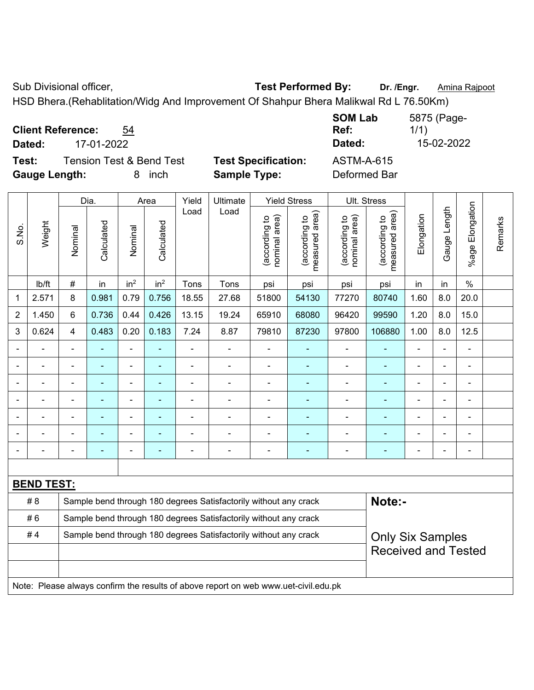Sub Divisional officer, **Test Performed By:** Dr. /Engr. **Amina Rajpoot Canadia** Rajpoot

HSD Bhera.(Rehablitation/Widg And Improvement Of Shahpur Bhera Malikwal Rd L 76.50Km)

| <b>Client Reference:</b> | 54 |
|--------------------------|----|
|--------------------------|----|

**Test:** Tension Test & Bend Test **Test Specification:** ASTM-A-615 **Gauge Length:** 8 inch **Sample Type:** Deformed Bar

**SOM Lab Ref:**  5875 (Page-1/1) **Dated:** 17-01-2022 **Dated:** 15-02-2022

|                |                   |                                                                  | Dia.                     |                 | Area            | Yield                                                            | Ultimate                                                                            |                                | <b>Yield Stress</b>                         |                                | Ult. Stress                     |                |              |                          |         |
|----------------|-------------------|------------------------------------------------------------------|--------------------------|-----------------|-----------------|------------------------------------------------------------------|-------------------------------------------------------------------------------------|--------------------------------|---------------------------------------------|--------------------------------|---------------------------------|----------------|--------------|--------------------------|---------|
| S.No.          | Weight            | Nominal                                                          | Calculated               | Nominal         | Calculated      | Load                                                             | Load                                                                                | nominal area)<br>(according to | (according to<br>neasured area)<br>measured | (according to<br>nominal area) | (according to<br>measured area) | Elongation     | Gauge Length | Elongation<br>$%$ age    | Remarks |
|                | lb/ft             | $\#$                                                             | in                       | in <sup>2</sup> | in <sup>2</sup> | Tons                                                             | Tons                                                                                | psi                            | psi                                         | psi                            | psi                             | in             | in           | $\%$                     |         |
| 1              | 2.571             | 8                                                                | 0.981                    | 0.79            | 0.756           | 18.55                                                            | 27.68                                                                               | 51800                          | 54130                                       | 77270                          | 80740                           | 1.60           | 8.0          | 20.0                     |         |
| $\overline{2}$ | 1.450             | 6                                                                | 0.736                    | 0.44            | 0.426           | 13.15                                                            | 19.24                                                                               | 65910                          | 68080                                       | 96420                          | 99590                           | 1.20           | 8.0          | 15.0                     |         |
| 3              | 0.624             | $\overline{4}$                                                   | 0.483                    | 0.20            | 0.183           | 7.24                                                             | 8.87                                                                                | 79810                          | 87230                                       | 97800                          | 106880                          | 1.00           | 8.0          | 12.5                     |         |
|                |                   | ÷,                                                               | ä,                       | ÷,              |                 | ÷,                                                               | $\blacksquare$                                                                      | $\blacksquare$                 | ۰                                           | $\blacksquare$                 | $\blacksquare$                  | $\blacksquare$ |              | $\blacksquare$           |         |
|                | $\blacksquare$    | $\blacksquare$                                                   | ÷                        | $\blacksquare$  | $\blacksquare$  | $\blacksquare$                                                   | $\blacksquare$                                                                      | $\blacksquare$                 | $\blacksquare$                              | $\blacksquare$                 | $\blacksquare$                  | $\blacksquare$ |              | $\blacksquare$           |         |
|                |                   | $\overline{\phantom{a}}$                                         |                          | $\blacksquare$  |                 |                                                                  |                                                                                     | $\blacksquare$                 | ۰                                           | ä,                             | ÷                               |                |              | $\blacksquare$           |         |
|                |                   |                                                                  | ۰                        | $\blacksquare$  |                 |                                                                  |                                                                                     | $\blacksquare$                 | ۰                                           | $\overline{\phantom{0}}$       | $\blacksquare$                  |                |              |                          |         |
|                |                   |                                                                  |                          | $\blacksquare$  |                 |                                                                  | ÷                                                                                   | $\blacksquare$                 | ÷                                           | $\blacksquare$                 |                                 |                |              | $\overline{\phantom{a}}$ |         |
|                |                   |                                                                  | ÷                        | $\blacksquare$  |                 |                                                                  | $\blacksquare$                                                                      | $\overline{a}$                 | ÷                                           | $\blacksquare$                 |                                 |                |              | $\overline{a}$           |         |
|                |                   |                                                                  | $\overline{\phantom{0}}$ | ۰               | ٠               |                                                                  | $\blacksquare$                                                                      | $\qquad \qquad \blacksquare$   | ۰                                           | $\overline{\phantom{0}}$       | $\blacksquare$                  | $\blacksquare$ |              | $\overline{\phantom{a}}$ |         |
|                |                   |                                                                  |                          |                 |                 |                                                                  |                                                                                     |                                |                                             |                                |                                 |                |              |                          |         |
|                | <b>BEND TEST:</b> |                                                                  |                          |                 |                 |                                                                  |                                                                                     |                                |                                             |                                |                                 |                |              |                          |         |
|                | #8                |                                                                  |                          |                 |                 |                                                                  | Sample bend through 180 degrees Satisfactorily without any crack                    |                                |                                             |                                | Note:-                          |                |              |                          |         |
|                | #6                | Sample bend through 180 degrees Satisfactorily without any crack |                          |                 |                 |                                                                  |                                                                                     |                                |                                             |                                |                                 |                |              |                          |         |
|                | #4                |                                                                  |                          |                 |                 | Sample bend through 180 degrees Satisfactorily without any crack |                                                                                     | <b>Only Six Samples</b>        |                                             |                                |                                 |                |              |                          |         |
|                |                   |                                                                  |                          |                 |                 |                                                                  |                                                                                     |                                |                                             |                                | <b>Received and Tested</b>      |                |              |                          |         |
|                |                   |                                                                  |                          |                 |                 |                                                                  |                                                                                     |                                |                                             |                                |                                 |                |              |                          |         |
|                |                   |                                                                  |                          |                 |                 |                                                                  | Note: Please always confirm the results of above report on web www.uet-civil.edu.pk |                                |                                             |                                |                                 |                |              |                          |         |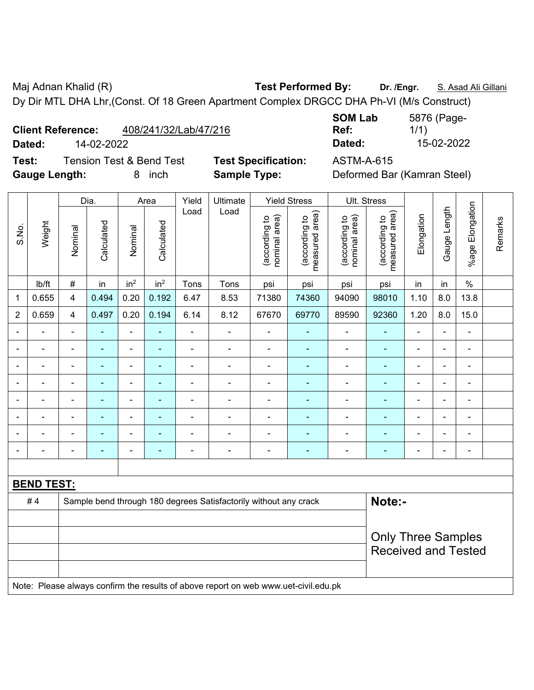Maj Adnan Khalid (R) **Test Performed By:** Dr. /Engr. **S. Asad Ali Gillani** Ali Gillani Dy Dir MTL DHA Lhr,(Const. Of 18 Green Apartment Complex DRGCC DHA Ph-VI (M/s Construct)

**Client Reference:** 408/241/32/Lab/47/216

**Dated:** 14-02-2022 **Dated:** 15-02-2022

**Test:** Tension Test & Bend Test **Test Specification:** ASTM-A-615 **Gauge Length:** 8 inch **Sample Type:** Deformed Bar (Kamran Steel)

| <b>SOM Lab</b> | 5876 (Page- |
|----------------|-------------|
| Ref:           | 1/1)        |
| <b>Dotad:</b>  | 15 NQ QNQQ  |

|                |                                                                                     |                           | Dia.           |                              | Area            | Yield          | Ultimate                                                         |                                | <b>Yield Stress</b>             | Ult. Stress                    |                                 |                          |                |                 |         |
|----------------|-------------------------------------------------------------------------------------|---------------------------|----------------|------------------------------|-----------------|----------------|------------------------------------------------------------------|--------------------------------|---------------------------------|--------------------------------|---------------------------------|--------------------------|----------------|-----------------|---------|
| S.No.          | Weight                                                                              | Nominal                   | Calculated     | Nominal                      | Calculated      | Load           | Load                                                             | nominal area)<br>(according to | measured area)<br>(according to | nominal area)<br>(according to | measured area)<br>(according to | Elongation               | Gauge Length   | %age Elongation | Remarks |
|                | lb/ft                                                                               | $\#$                      | in             | in <sup>2</sup>              | in <sup>2</sup> | Tons           | Tons                                                             | psi                            | psi                             | psi                            | psi                             | in                       | in             | $\%$            |         |
| 1              | 0.655                                                                               | $\overline{\mathbf{4}}$   | 0.494          | 0.20                         | 0.192           | 6.47           | 8.53                                                             | 71380                          | 74360                           | 94090                          | 98010                           | 1.10                     | 8.0            | 13.8            |         |
| $\overline{2}$ | 0.659                                                                               | 4                         | 0.497          | 0.20                         | 0.194           | 6.14           | 8.12                                                             | 67670                          | 69770                           | 89590                          | 92360                           | 1.20                     | 8.0            | 15.0            |         |
|                |                                                                                     |                           |                | ä,                           | L.              | L,             | Ě.                                                               | $\blacksquare$                 |                                 | $\blacksquare$                 |                                 |                          | L.             | $\blacksquare$  |         |
|                |                                                                                     |                           | $\blacksquare$ | ۰                            | $\blacksquare$  | $\blacksquare$ | $\blacksquare$                                                   | $\qquad \qquad \blacksquare$   | ٠                               | $\qquad \qquad \blacksquare$   | $\blacksquare$                  |                          |                | $\blacksquare$  |         |
| $\blacksquare$ |                                                                                     |                           |                | $\blacksquare$               |                 |                |                                                                  | $\blacksquare$                 |                                 |                                |                                 |                          |                | $\blacksquare$  |         |
| ۰              |                                                                                     | $\blacksquare$            | ۰              | $\blacksquare$               | ۰               | $\blacksquare$ | $\blacksquare$                                                   | $\qquad \qquad \blacksquare$   | ٠                               | $\qquad \qquad \blacksquare$   | Ē.                              | $\overline{\phantom{0}}$ | $\blacksquare$ | $\blacksquare$  |         |
| $\blacksquare$ | ÷                                                                                   | $\blacksquare$            | ä,             | $\blacksquare$               | ÷               | ÷              | ä,                                                               | $\blacksquare$                 | $\blacksquare$                  | ÷,                             | ÷,                              | ÷                        | ä,             | $\blacksquare$  |         |
|                |                                                                                     | $\blacksquare$            | $\blacksquare$ | $\blacksquare$               | ÷,              | ÷              | Ē,                                                               | $\blacksquare$                 | $\blacksquare$                  | $\blacksquare$                 | $\blacksquare$                  | ÷                        | L,             | $\blacksquare$  |         |
|                |                                                                                     | $\blacksquare$            | ۰              | $\qquad \qquad \blacksquare$ | ÷               | $\blacksquare$ | ä,                                                               | $\blacksquare$                 | ٠                               | $\blacksquare$                 | $\overline{\phantom{a}}$        | ÷                        | ä,             | $\blacksquare$  |         |
|                |                                                                                     | $\blacksquare$            | ä,             | ÷,                           | ÷               | Ē,             | Ē,                                                               | $\blacksquare$                 | $\blacksquare$                  | ۰                              | ÷,                              | ÷                        | L,             | $\blacksquare$  |         |
|                |                                                                                     |                           |                |                              |                 |                |                                                                  |                                |                                 |                                |                                 |                          |                |                 |         |
|                | <b>BEND TEST:</b>                                                                   |                           |                |                              |                 |                |                                                                  |                                |                                 |                                |                                 |                          |                |                 |         |
|                | #4                                                                                  |                           |                |                              |                 |                | Sample bend through 180 degrees Satisfactorily without any crack |                                |                                 |                                | Note:-                          |                          |                |                 |         |
|                |                                                                                     |                           |                |                              |                 |                |                                                                  |                                |                                 |                                |                                 |                          |                |                 |         |
|                |                                                                                     | <b>Only Three Samples</b> |                |                              |                 |                |                                                                  |                                |                                 |                                |                                 |                          |                |                 |         |
|                |                                                                                     |                           |                |                              |                 |                |                                                                  |                                |                                 |                                | <b>Received and Tested</b>      |                          |                |                 |         |
|                |                                                                                     |                           |                |                              |                 |                |                                                                  |                                |                                 |                                |                                 |                          |                |                 |         |
|                | Note: Please always confirm the results of above report on web www.uet-civil.edu.pk |                           |                |                              |                 |                |                                                                  |                                |                                 |                                |                                 |                          |                |                 |         |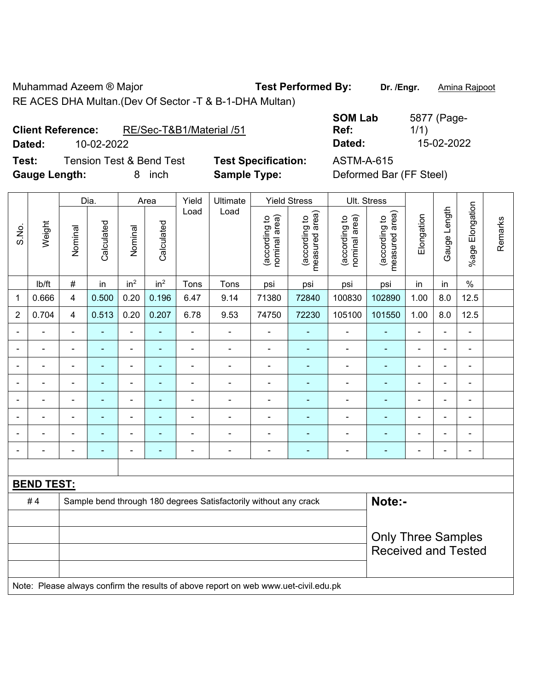Muhammad Azeem ® Major **Test Performed By:** Dr. /Engr. **Amina Rajpoot** RE ACES DHA Multan.(Dev Of Sector -T & B-1-DHA Multan)

**Test:** Tension Test & Bend Test **Test Specification:** ASTM-A-615 **Gauge Length:** 8 inch **Sample Type:** Deformed Bar (FF Steel)

**Ref: Dated:** 10-02-2022 **Dated:** 15-02-2022

5877 (Page-1/1)

|                |                          |                | Dia.       |                 | Area            | Yield          | Ultimate                                                                            |                                | <b>Yield Stress</b>             |                                | Ult. Stress                     |                |                |                 |         |
|----------------|--------------------------|----------------|------------|-----------------|-----------------|----------------|-------------------------------------------------------------------------------------|--------------------------------|---------------------------------|--------------------------------|---------------------------------|----------------|----------------|-----------------|---------|
| S.No.          | Weight                   | Nominal        | Calculated | Nominal         | Calculated      | Load           | Load                                                                                | nominal area)<br>(according to | (according to<br>measured area) | nominal area)<br>(according to | (according to<br>measured area) | Elongation     | Gauge Length   | %age Elongation | Remarks |
|                | lb/ft                    | #              | in         | in <sup>2</sup> | in <sup>2</sup> | Tons           | Tons                                                                                | psi                            | psi                             | psi                            | psi                             | in             | in             | $\%$            |         |
| 1              | 0.666                    | 4              | 0.500      | 0.20            | 0.196           | 6.47           | 9.14                                                                                | 71380                          | 72840                           | 100830                         | 102890                          | 1.00           | 8.0            | 12.5            |         |
| $\overline{2}$ | 0.704                    | $\overline{4}$ | 0.513      | 0.20            | 0.207           | 6.78           | 9.53                                                                                | 74750                          | 72230                           | 105100                         | 101550                          | 1.00           | 8.0            | 12.5            |         |
|                |                          | $\blacksquare$ |            | $\blacksquare$  |                 | $\blacksquare$ |                                                                                     | $\overline{\phantom{a}}$       | $\blacksquare$                  | $\blacksquare$                 |                                 |                |                | $\blacksquare$  |         |
|                |                          |                | ۰          | $\blacksquare$  |                 |                | $\blacksquare$                                                                      | $\blacksquare$                 | ۰                               | $\blacksquare$                 | ۰                               | $\blacksquare$ |                | $\blacksquare$  |         |
|                |                          | $\blacksquare$ | ۰          | $\blacksquare$  |                 |                | $\blacksquare$                                                                      | $\blacksquare$                 | ۳                               |                                |                                 | $\blacksquare$ |                | $\blacksquare$  |         |
|                |                          | $\blacksquare$ | ä,         | $\blacksquare$  |                 |                | ä,                                                                                  | $\blacksquare$                 | $\blacksquare$                  | $\blacksquare$                 | ÷                               | $\blacksquare$ |                | $\blacksquare$  |         |
| $\blacksquare$ |                          | $\blacksquare$ | ÷,         | $\blacksquare$  | ٠               |                | $\blacksquare$                                                                      | $\blacksquare$                 | $\blacksquare$                  | $\blacksquare$                 | ÷                               | $\blacksquare$ | $\blacksquare$ | $\blacksquare$  |         |
|                | $\overline{\phantom{0}}$ | $\blacksquare$ | ä,         | $\blacksquare$  | $\blacksquare$  | $\blacksquare$ | $\blacksquare$                                                                      | $\blacksquare$                 | $\blacksquare$                  | $\blacksquare$                 | ۰                               | ÷,             |                | $\blacksquare$  |         |
|                |                          |                |            | $\blacksquare$  |                 |                |                                                                                     | $\blacksquare$                 | $\blacksquare$                  |                                |                                 |                |                | $\blacksquare$  |         |
|                |                          |                |            |                 |                 |                |                                                                                     | ٠                              | ۳                               |                                |                                 | -              |                | $\blacksquare$  |         |
|                |                          |                |            |                 |                 |                |                                                                                     |                                |                                 |                                |                                 |                |                |                 |         |
|                | <b>BEND TEST:</b>        |                |            |                 |                 |                |                                                                                     |                                |                                 |                                |                                 |                |                |                 |         |
|                | #4                       |                |            |                 |                 |                | Sample bend through 180 degrees Satisfactorily without any crack                    |                                |                                 |                                | Note:-                          |                |                |                 |         |
|                |                          |                |            |                 |                 |                |                                                                                     |                                |                                 |                                |                                 |                |                |                 |         |
|                |                          |                |            |                 |                 |                |                                                                                     |                                |                                 |                                | <b>Only Three Samples</b>       |                |                |                 |         |
|                |                          |                |            |                 |                 |                |                                                                                     |                                |                                 |                                | <b>Received and Tested</b>      |                |                |                 |         |
|                |                          |                |            |                 |                 |                |                                                                                     |                                |                                 |                                |                                 |                |                |                 |         |
|                |                          |                |            |                 |                 |                | Note: Please always confirm the results of above report on web www.uet-civil.edu.pk |                                |                                 |                                |                                 |                |                |                 |         |

**SOM Lab**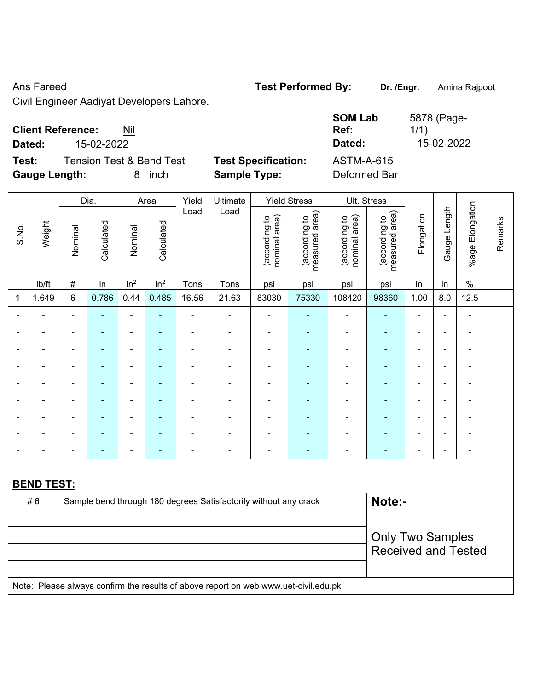## Ans Fareed **Test Performed By:** Dr. /Engr. **Amina Rajpoot Canadia** Reserve that Manuscription Contract Performed By:

Civil Engineer Aadiyat Developers Lahore.

| <b>Client Reference:</b><br>Nil                                                          |                                                   | <b>SOM Lab</b><br>Ref:            | 5878 (Page-<br>1/1) |
|------------------------------------------------------------------------------------------|---------------------------------------------------|-----------------------------------|---------------------|
| 15-02-2022<br>Dated:                                                                     |                                                   | Dated:                            | 15-02-2022          |
| <b>Tension Test &amp; Bend Test</b><br>Test:<br><b>Gauge Length:</b><br><i>inch</i><br>8 | <b>Test Specification:</b><br><b>Sample Type:</b> | <b>ASTM-A-615</b><br>Deformed Bar |                     |
|                                                                                          |                                                   |                                   |                     |

|                          |                   |                | Dia.           |                              | Area            | Yield          | Ultimate                                                                            |                                | <b>Yield Stress</b>             |                                | Ult. Stress                     |                |                          |                          |         |
|--------------------------|-------------------|----------------|----------------|------------------------------|-----------------|----------------|-------------------------------------------------------------------------------------|--------------------------------|---------------------------------|--------------------------------|---------------------------------|----------------|--------------------------|--------------------------|---------|
| S.No.                    | Weight            | Nominal        | Calculated     | Nominal                      | Calculated      | Load           | Load                                                                                | (according to<br>nominal area) | (according to<br>measured area) | (according to<br>nominal area) | (according to<br>measured area) | Elongation     | Gauge Length             | %age Elongation          | Remarks |
|                          | lb/ft             | $\#$           | in             | in <sup>2</sup>              | in <sup>2</sup> | Tons           | Tons                                                                                | psi                            | psi                             | psi                            | psi                             | in             | in                       | $\frac{0}{0}$            |         |
| 1                        | 1.649             | $6\phantom{1}$ | 0.786          | 0.44                         | 0.485           | 16.56          | 21.63                                                                               | 83030                          | 75330                           | 108420                         | 98360                           | 1.00           | 8.0                      | 12.5                     |         |
|                          |                   |                | ۰              | ä,                           | $\sim$          | $\blacksquare$ | ÷                                                                                   | $\blacksquare$                 | ÷                               | $\blacksquare$                 | ÷,                              | $\blacksquare$ |                          | $\blacksquare$           |         |
|                          | L.                |                |                | $\blacksquare$               |                 | ä,             | ä,                                                                                  | $\blacksquare$                 | ۰                               |                                | $\blacksquare$                  |                | $\blacksquare$           | $\blacksquare$           |         |
| $\blacksquare$           | ÷                 | $\blacksquare$ | ۰              | ۰                            | ٠               | ä,             | ÷,                                                                                  | $\blacksquare$                 | $\blacksquare$                  | $\blacksquare$                 | ٠                               | ÷              | $\blacksquare$           | ÷                        |         |
| $\overline{\phantom{0}}$ | ÷                 | $\blacksquare$ | $\blacksquare$ | $\overline{a}$               | $\blacksquare$  | ä,             | $\overline{\phantom{a}}$                                                            | $\overline{\phantom{a}}$       | $\blacksquare$                  | $\blacksquare$                 | ٠                               | $\blacksquare$ | $\blacksquare$           | $\overline{\phantom{a}}$ |         |
|                          | ÷                 | $\blacksquare$ | Ē.             | $\qquad \qquad \blacksquare$ | ٠               | L,             | ÷                                                                                   | $\blacksquare$                 | ٠                               | $\blacksquare$                 | ÷,                              | $\blacksquare$ | $\blacksquare$           | $\blacksquare$           |         |
| $\blacksquare$           | ÷.                | $\blacksquare$ | ä,             | $\overline{\phantom{a}}$     | $\sim$          | ä,             | ÷                                                                                   | $\overline{\phantom{a}}$       | ä,                              | $\overline{\phantom{a}}$       | ÷,                              | $\blacksquare$ | $\overline{\phantom{0}}$ | $\blacksquare$           |         |
|                          |                   |                | ۰              | L.                           | ٠               | L,             | $\blacksquare$                                                                      |                                | ۰                               |                                | ۳                               |                |                          | $\blacksquare$           |         |
|                          |                   |                |                | Ē,                           |                 |                | ÷                                                                                   |                                | ۰                               |                                | $\blacksquare$                  |                |                          | $\blacksquare$           |         |
| $\blacksquare$           | ÷                 | $\blacksquare$ | ÷,             | ÷                            | $\blacksquare$  | ä,             | $\overline{\phantom{a}}$                                                            | $\overline{\phantom{a}}$       | $\blacksquare$                  | $\blacksquare$                 | $\blacksquare$                  | $\blacksquare$ | $\blacksquare$           | $\overline{\phantom{a}}$ |         |
|                          |                   |                |                |                              |                 |                |                                                                                     |                                |                                 |                                |                                 |                |                          |                          |         |
|                          | <b>BEND TEST:</b> |                |                |                              |                 |                |                                                                                     |                                |                                 |                                |                                 |                |                          |                          |         |
|                          | #6                |                |                |                              |                 |                | Sample bend through 180 degrees Satisfactorily without any crack                    |                                |                                 |                                | Note:-                          |                |                          |                          |         |
|                          |                   |                |                |                              |                 |                |                                                                                     |                                |                                 |                                |                                 |                |                          |                          |         |
|                          |                   |                |                |                              |                 |                |                                                                                     |                                |                                 |                                | <b>Only Two Samples</b>         |                |                          |                          |         |
|                          |                   |                |                |                              |                 |                |                                                                                     |                                |                                 |                                | <b>Received and Tested</b>      |                |                          |                          |         |
|                          |                   |                |                |                              |                 |                |                                                                                     |                                |                                 |                                |                                 |                |                          |                          |         |
|                          |                   |                |                |                              |                 |                | Note: Please always confirm the results of above report on web www.uet-civil.edu.pk |                                |                                 |                                |                                 |                |                          |                          |         |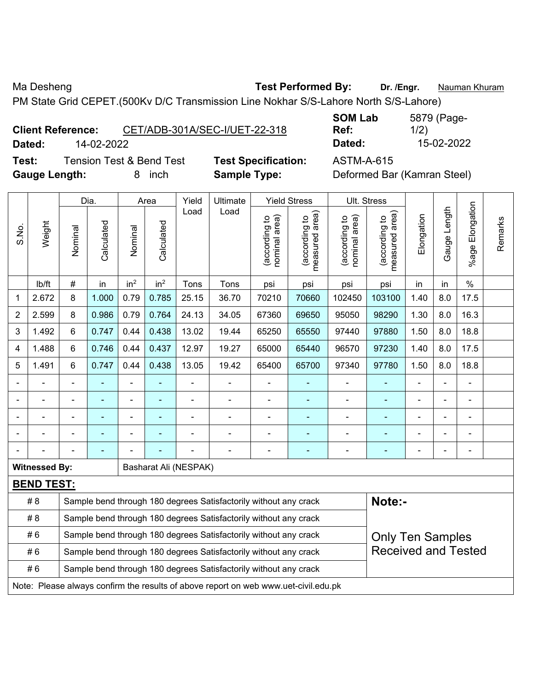Ma Desheng **Test Performed By:** Dr. /Engr. **Nauman Khuram** 

PM State Grid CEPET.(500Kv D/C Transmission Line Nokhar S/S-Lahore North S/S-Lahore)

**Client Reference:** CET/ADB-301A/SEC-I/UET-22-318 **Dated:** 14-02-2022 **Dated:** 15-02-2022

**Test:** Tension Test & Bend Test **Test Specification:** ASTM-A-615 **Gauge Length:** 8 inch **Sample Type:** Deformed Bar (Kamran Steel)

**SOM Lab Ref:**  5879 (Page-1/2)

|                |                                                                                     |                                                                                             | Dia.           |                 | Area            | Yield                 | Ultimate                                                         |                                | <b>Yield Stress</b>                        |                                | Ult. Stress                     |            |              |                          |         |
|----------------|-------------------------------------------------------------------------------------|---------------------------------------------------------------------------------------------|----------------|-----------------|-----------------|-----------------------|------------------------------------------------------------------|--------------------------------|--------------------------------------------|--------------------------------|---------------------------------|------------|--------------|--------------------------|---------|
| S.No.          | Weight                                                                              | Nominal                                                                                     | Calculated     | Nominal         | Calculated      | Load                  | Load                                                             | nominal area)<br>(according to | (acording to<br>neasured area)<br>measured | nominal area)<br>(according to | measured area)<br>(according to | Elongation | Gauge Length | Elongation<br>$%$ age    | Remarks |
|                | lb/ft                                                                               | $\#$                                                                                        | in             | in <sup>2</sup> | in <sup>2</sup> | Tons                  | Tons                                                             | psi                            | psi                                        | psi                            | psi                             | in         | in           | $\frac{1}{2}$            |         |
| 1              | 2.672                                                                               | 8                                                                                           | 1.000          | 0.79            | 0.785           | 25.15                 | 36.70                                                            | 70210                          | 70660                                      | 102450                         | 103100                          | 1.40       | 8.0          | 17.5                     |         |
| $\overline{2}$ | 2.599                                                                               | 8                                                                                           | 0.986          | 0.79            | 0.764           | 24.13                 | 34.05                                                            | 67360                          | 69650                                      | 95050                          | 98290                           | 1.30       | 8.0          | 16.3                     |         |
| 3              | 1.492                                                                               | 6                                                                                           | 0.747          | 0.44            | 0.438           | 13.02                 | 19.44                                                            | 65250                          | 65550                                      | 97440                          | 97880                           | 1.50       | 8.0          | 18.8                     |         |
| 4              | 1.488                                                                               | 6                                                                                           | 0.746          | 0.44            | 0.437           | 12.97                 | 19.27                                                            | 65000                          | 65440                                      | 96570                          | 97230                           | 1.40       | 8.0          | 17.5                     |         |
| 5              | 1.491                                                                               | 6                                                                                           | 0.747          | 0.44            | 0.438           | 13.05                 | 19.42                                                            | 65400                          | 65700                                      | 97340                          | 97780                           | 1.50       | 8.0          | 18.8                     |         |
|                |                                                                                     | $\blacksquare$                                                                              | ÷              | ÷,              |                 | $\overline{a}$        | ä,                                                               |                                | ÷                                          | $\blacksquare$                 | $\blacksquare$                  |            |              |                          |         |
|                | $\blacksquare$                                                                      | -                                                                                           | ÷,             | $\overline{a}$  | $\blacksquare$  | ä,                    | ÷,                                                               | ä,                             | ÷                                          | $\blacksquare$                 | $\blacksquare$                  | ä,         |              | ä,                       |         |
|                |                                                                                     |                                                                                             | $\blacksquare$ | $\blacksquare$  |                 |                       | ÷.                                                               |                                | $\blacksquare$                             |                                | ÷                               |            |              | $\blacksquare$           |         |
|                |                                                                                     |                                                                                             |                |                 |                 |                       |                                                                  |                                | ÷                                          |                                | ۳                               |            |              |                          |         |
|                |                                                                                     |                                                                                             |                |                 |                 |                       |                                                                  |                                |                                            |                                |                                 |            |              | $\overline{\phantom{a}}$ |         |
|                | <b>Witnessed By:</b>                                                                |                                                                                             |                |                 |                 | Basharat Ali (NESPAK) |                                                                  |                                |                                            |                                |                                 |            |              |                          |         |
|                | <b>BEND TEST:</b>                                                                   |                                                                                             |                |                 |                 |                       |                                                                  |                                |                                            |                                |                                 |            |              |                          |         |
|                | # 8                                                                                 |                                                                                             |                |                 |                 |                       | Sample bend through 180 degrees Satisfactorily without any crack |                                |                                            |                                | Note:-                          |            |              |                          |         |
|                | # 8                                                                                 |                                                                                             |                |                 |                 |                       | Sample bend through 180 degrees Satisfactorily without any crack |                                |                                            |                                |                                 |            |              |                          |         |
|                | #6                                                                                  | Sample bend through 180 degrees Satisfactorily without any crack<br><b>Only Ten Samples</b> |                |                 |                 |                       |                                                                  |                                |                                            |                                |                                 |            |              |                          |         |
|                | #6                                                                                  |                                                                                             |                |                 |                 |                       | Sample bend through 180 degrees Satisfactorily without any crack |                                |                                            |                                | <b>Received and Tested</b>      |            |              |                          |         |
|                | #6                                                                                  |                                                                                             |                |                 |                 |                       | Sample bend through 180 degrees Satisfactorily without any crack |                                |                                            |                                |                                 |            |              |                          |         |
|                | Note: Please always confirm the results of above report on web www.uet-civil.edu.pk |                                                                                             |                |                 |                 |                       |                                                                  |                                |                                            |                                |                                 |            |              |                          |         |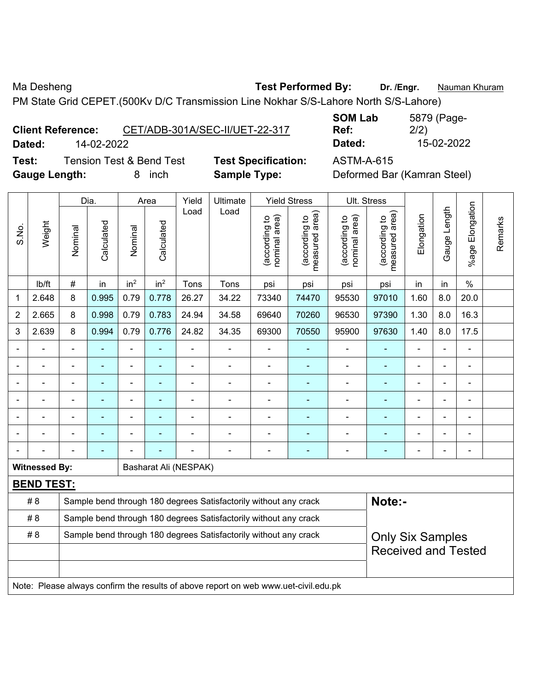Ma Desheng **Test Performed By:** Dr. /Engr. **Nauman Khuram** PM State Grid CEPET.(500Kv D/C Transmission Line Nokhar S/S-Lahore North S/S-Lahore)

**Client Reference:** CET/ADB-301A/SEC-II/UET-22-317 **Dated:** 14-02-2022 **Dated:** 15-02-2022

**Test:** Tension Test & Bend Test **Test Specification:** ASTM-A-615 **Gauge Length:** 8 inch **Sample Type:** Deformed Bar (Kamran Steel)

**SOM Lab Ref:**  5879 (Page-2/2)

|                |                      |                                                                                     | Dia.           |                 | Area            | Yield                                                            | Ultimate                                                         |                                | <b>Yield Stress</b>             |                                | Ult. Stress                     |                |              |                       |         |
|----------------|----------------------|-------------------------------------------------------------------------------------|----------------|-----------------|-----------------|------------------------------------------------------------------|------------------------------------------------------------------|--------------------------------|---------------------------------|--------------------------------|---------------------------------|----------------|--------------|-----------------------|---------|
| S.No.          | Weight               | Nominal                                                                             | Calculated     | Nominal         | Calculated      | Load                                                             | Load                                                             | nominal area)<br>(according to | (according to<br>measured area) | nominal area)<br>(according to | (according to<br>measured area) | Elongation     | Gauge Length | Elongation<br>$%$ age | Remarks |
|                | lb/ft                | $\#$                                                                                | in             | in <sup>2</sup> | in <sup>2</sup> | Tons                                                             | Tons                                                             | psi                            | psi                             | psi                            | psi                             | in             | in           | $\frac{0}{0}$         |         |
| 1              | 2.648                | 8                                                                                   | 0.995          | 0.79            | 0.778           | 26.27                                                            | 34.22                                                            | 73340                          | 74470                           | 95530                          | 97010                           | 1.60           | 8.0          | 20.0                  |         |
| $\overline{2}$ | 2.665                | 8                                                                                   | 0.998          | 0.79            | 0.783           | 24.94                                                            | 34.58                                                            | 69640                          | 70260                           | 96530                          | 97390                           | 1.30           | 8.0          | 16.3                  |         |
| 3              | 2.639                | 8                                                                                   | 0.994          | 0.79            | 0.776           | 24.82                                                            | 34.35                                                            | 69300                          | 70550                           | 95900                          | 97630                           | 1.40           | 8.0          | 17.5                  |         |
|                |                      |                                                                                     |                | ÷,              |                 |                                                                  | ÷                                                                | $\overline{\phantom{a}}$       | ÷                               | $\qquad \qquad \blacksquare$   | $\blacksquare$                  |                |              | $\blacksquare$        |         |
|                | ÷.                   | ä,                                                                                  | $\blacksquare$ | $\blacksquare$  | $\blacksquare$  | ä,                                                               | $\blacksquare$                                                   | $\blacksquare$                 | $\blacksquare$                  | $\overline{\phantom{a}}$       | ä,                              | $\blacksquare$ | ä,           | $\blacksquare$        |         |
|                | ÷                    | $\blacksquare$                                                                      | ä,             | ÷,              | $\blacksquare$  | ä,                                                               | ÷                                                                | ä,                             | $\blacksquare$                  | $\blacksquare$                 | ä,<br>$\blacksquare$<br>Ĭ.      |                |              |                       |         |
|                |                      |                                                                                     | Ē.             | ä,              |                 |                                                                  | ÷                                                                | L,                             | ÷                               | ÷,                             | L,                              |                |              | $\blacksquare$        |         |
|                |                      |                                                                                     |                | $\blacksquare$  |                 |                                                                  |                                                                  |                                |                                 |                                |                                 |                |              |                       |         |
|                |                      |                                                                                     |                | ÷               |                 |                                                                  | ÷                                                                | $\blacksquare$                 | $\overline{a}$                  | $\blacksquare$                 |                                 |                |              |                       |         |
|                |                      |                                                                                     |                |                 |                 |                                                                  |                                                                  | $\blacksquare$                 | ÷                               | ۰                              |                                 |                | ä,           | $\blacksquare$        |         |
|                | <b>Witnessed By:</b> |                                                                                     |                |                 |                 | Basharat Ali (NESPAK)                                            |                                                                  |                                |                                 |                                |                                 |                |              |                       |         |
|                | <b>BEND TEST:</b>    |                                                                                     |                |                 |                 |                                                                  |                                                                  |                                |                                 |                                |                                 |                |              |                       |         |
|                | # 8                  |                                                                                     |                |                 |                 |                                                                  | Sample bend through 180 degrees Satisfactorily without any crack |                                |                                 |                                | Note:-                          |                |              |                       |         |
|                | # 8                  |                                                                                     |                |                 |                 | Sample bend through 180 degrees Satisfactorily without any crack |                                                                  |                                |                                 |                                |                                 |                |              |                       |         |
|                | # 8                  |                                                                                     |                |                 |                 |                                                                  | Sample bend through 180 degrees Satisfactorily without any crack |                                |                                 |                                | <b>Only Six Samples</b>         |                |              |                       |         |
|                |                      |                                                                                     |                |                 |                 |                                                                  |                                                                  |                                |                                 |                                | <b>Received and Tested</b>      |                |              |                       |         |
|                |                      |                                                                                     |                |                 |                 |                                                                  |                                                                  |                                |                                 |                                |                                 |                |              |                       |         |
|                |                      | Note: Please always confirm the results of above report on web www.uet-civil.edu.pk |                |                 |                 |                                                                  |                                                                  |                                |                                 |                                |                                 |                |              |                       |         |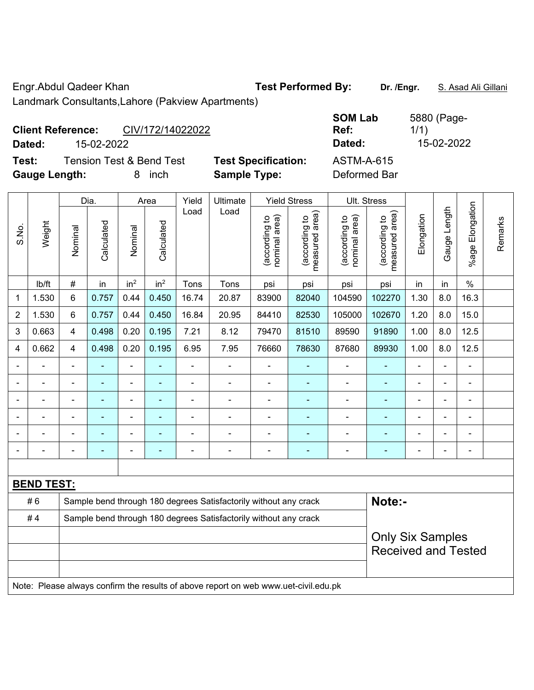Engr.Abdul Qadeer Khan **Test Performed By: Dr. /Engr.** S. Asad Ali Gillani Landmark Consultants,Lahore (Pakview Apartments)

**Client Reference:** CIV/172/14022022

**Test:** Tension Test & Bend Test **Test Specification:** ASTM-A-615 **Gauge Length:** 8 inch **Sample Type:** Deformed Bar

**SOM Lab Ref:**  5880 (Page-1/1) **Dated:** 15-02-2022 **Dated:** 15-02-2022

|                |                   |                | Dia.       |                              | Area            | Yield          | Ultimate                                                                            |                                | <b>Yield Stress</b>                         |                                | Ult. Stress                     |                |                |                       |         |
|----------------|-------------------|----------------|------------|------------------------------|-----------------|----------------|-------------------------------------------------------------------------------------|--------------------------------|---------------------------------------------|--------------------------------|---------------------------------|----------------|----------------|-----------------------|---------|
| S.No.          | Weight            | Nominal        | Calculated | Nominal                      | Calculated      | Load           | Load                                                                                | nominal area)<br>(according to | (according to<br>measured area)<br>measured | nominal area)<br>(according to | (according to<br>measured area) | Elongation     | Gauge Length   | Elongation<br>$%$ age | Remarks |
|                | lb/ft             | $\#$           | in         | in <sup>2</sup>              | in <sup>2</sup> | Tons           | Tons                                                                                | psi                            | psi                                         | psi                            | psi                             | in             | in             | $\%$                  |         |
| 1              | 1.530             | 6              | 0.757      | 0.44                         | 0.450           | 16.74          | 20.87                                                                               | 83900                          | 82040                                       | 104590                         | 102270                          | 1.30           | 8.0            | 16.3                  |         |
| $\overline{2}$ | 1.530             | 6              | 0.757      | 0.44                         | 0.450           | 16.84          | 20.95                                                                               | 84410                          | 82530                                       | 105000                         | 102670                          | 1.20           | 8.0            | 15.0                  |         |
| 3              | 0.663             | $\overline{4}$ | 0.498      | 0.20                         | 0.195           | 7.21           | 8.12                                                                                | 79470                          | 81510                                       | 89590                          | 91890                           | 1.00           | 8.0            | 12.5                  |         |
| 4              | 0.662             | $\overline{4}$ | 0.498      | 0.20                         | 0.195           | 6.95           | 7.95                                                                                | 76660                          | 78630                                       | 87680                          | 89930                           | 1.00           | 8.0            | 12.5                  |         |
|                |                   | $\blacksquare$ | ÷,         | $\overline{\phantom{0}}$     | ۰               | ä,             | $\blacksquare$                                                                      | L,                             | $\blacksquare$                              | $\blacksquare$                 | $\blacksquare$                  | ä,             | $\blacksquare$ | $\blacksquare$        |         |
|                |                   |                | ÷,         | ÷                            |                 | $\blacksquare$ | $\blacksquare$                                                                      | L,                             | $\blacksquare$                              | $\blacksquare$                 | $\blacksquare$                  |                |                | $\blacksquare$        |         |
|                |                   |                |            | ÷,                           |                 |                | $\blacksquare$                                                                      | ä,                             |                                             | $\blacksquare$                 | ۳                               | ÷              | $\blacksquare$ |                       |         |
|                |                   | $\blacksquare$ | ۰          |                              | ۰               | $\blacksquare$ | $\blacksquare$                                                                      | $\blacksquare$                 | $\blacksquare$                              | $\overline{a}$                 | ٠                               | $\blacksquare$ | $\blacksquare$ | $\blacksquare$        |         |
|                |                   |                | ÷,         | -                            | ۰               | Ē,             | $\blacksquare$                                                                      | ä,                             | ٠                                           | $\blacksquare$                 | ٠                               | ä,             | $\blacksquare$ | $\blacksquare$        |         |
|                |                   |                | ۰          | $\qquad \qquad \blacksquare$ | ۰               | $\blacksquare$ | $\blacksquare$                                                                      | $\overline{a}$                 | ٠                                           | $\blacksquare$                 | ٠                               | ä,             | $\blacksquare$ | $\blacksquare$        |         |
|                |                   |                |            |                              |                 |                |                                                                                     |                                |                                             |                                |                                 |                |                |                       |         |
|                | <b>BEND TEST:</b> |                |            |                              |                 |                |                                                                                     |                                |                                             |                                |                                 |                |                |                       |         |
|                | #6                |                |            |                              |                 |                | Sample bend through 180 degrees Satisfactorily without any crack                    |                                |                                             |                                | Note:-                          |                |                |                       |         |
|                | #4                |                |            |                              |                 |                | Sample bend through 180 degrees Satisfactorily without any crack                    |                                |                                             |                                |                                 |                |                |                       |         |
|                |                   |                |            |                              |                 |                |                                                                                     |                                |                                             |                                | <b>Only Six Samples</b>         |                |                |                       |         |
|                |                   |                |            |                              |                 |                |                                                                                     |                                |                                             |                                | <b>Received and Tested</b>      |                |                |                       |         |
|                |                   |                |            |                              |                 |                |                                                                                     |                                |                                             |                                |                                 |                |                |                       |         |
|                |                   |                |            |                              |                 |                | Note: Please always confirm the results of above report on web www.uet-civil.edu.pk |                                |                                             |                                |                                 |                |                |                       |         |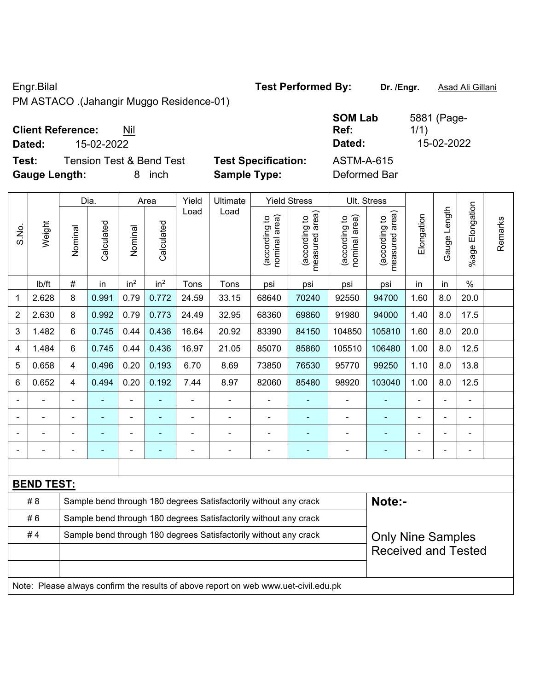PM ASTACO .(Jahangir Muggo Residence-01)

 $\overline{\phantom{0}}$ 

 $\overline{\phantom{a}}$ 

## **Client Reference:** Nil

 $\Gamma$ 

**Dated:** 15-02-2022 **Dated:** 15-02-2022

**Test:** Tension Test & Bend Test **Test Specification:** ASTM-A-615 **Gauge Length:** 8 inch **Sample Type:** Deformed Bar

 $\top$ 

 $\overline{\phantom{a}}$ 

| t Specification: |  |
|------------------|--|
| nnle Tvne:       |  |

| ٠ | ASTM-A-61  |  |
|---|------------|--|
|   | Deformed B |  |

 $\top$ 

**SOM Lab Ref:** 

|                |                   |                                                                  | Dia.       |                 | Area            | Yield          | Ultimate                                                                            |                               | <b>Yield Stress</b>                         |                                | Ult. Stress                     |                |                |                       |         |
|----------------|-------------------|------------------------------------------------------------------|------------|-----------------|-----------------|----------------|-------------------------------------------------------------------------------------|-------------------------------|---------------------------------------------|--------------------------------|---------------------------------|----------------|----------------|-----------------------|---------|
| S.No.          | Weight            | Nominal                                                          | Calculated | Nominal         | Calculated      | Load           | Load                                                                                | nominal area)<br>decording to | (according to<br>measured area)<br>measured | (according to<br>nominal area) | (according to<br>measured area) | Elongation     | Gauge Length   | Elongation<br>$%$ age | Remarks |
|                | lb/ft             | #                                                                | in         | in <sup>2</sup> | in <sup>2</sup> | Tons           | Tons                                                                                | psi                           | psi                                         | psi                            | psi                             | in             | in             | $\%$                  |         |
| 1              | 2.628             | 8                                                                | 0.991      | 0.79            | 0.772           | 24.59          | 33.15                                                                               | 68640                         | 70240                                       | 92550                          | 94700                           | 1.60           | 8.0            | 20.0                  |         |
| $\overline{2}$ | 2.630             | 8                                                                | 0.992      | 0.79            | 0.773           | 24.49          | 32.95                                                                               | 68360                         | 69860                                       | 91980                          | 94000                           | 1.40           | 8.0            | 17.5                  |         |
| 3              | 1.482             | 6                                                                | 0.745      | 0.44            | 0.436           | 16.64          | 20.92                                                                               | 83390                         | 84150                                       | 104850                         | 105810                          | 1.60           | 8.0            | 20.0                  |         |
| 4              | 1.484             | 6                                                                | 0.745      | 0.44            | 0.436           | 16.97          | 21.05                                                                               | 85070                         | 85860                                       | 105510                         | 106480                          | 1.00           | 8.0            | 12.5                  |         |
| 5              | 0.658             | 4                                                                | 0.496      | 0.20            | 0.193           | 6.70           | 8.69                                                                                | 73850                         | 76530                                       | 95770                          | 99250                           | 1.10           | 8.0            | 13.8                  |         |
| 6              | 0.652             | 4                                                                | 0.494      | 0.20            | 0.192           | 7.44           | 8.97                                                                                | 82060                         | 85480                                       | 98920                          | 103040                          | 1.00           | 8.0            | 12.5                  |         |
|                | ÷                 | $\blacksquare$                                                   | ۰          | ÷               |                 | $\overline{a}$ | ÷                                                                                   |                               |                                             | $\blacksquare$                 | $\blacksquare$                  | $\blacksquare$ |                | $\blacksquare$        |         |
|                | ä,                | $\blacksquare$                                                   | ÷,         | ÷,              | ۰               | ä,             | ÷                                                                                   | $\blacksquare$                | $\blacksquare$                              | ä,                             | $\blacksquare$                  | $\blacksquare$ |                | $\blacksquare$        |         |
|                |                   |                                                                  |            |                 |                 |                |                                                                                     |                               |                                             |                                | $\blacksquare$                  |                |                |                       |         |
|                |                   |                                                                  |            | ۰               | ۰               | $\overline{a}$ | $\blacksquare$                                                                      |                               | $\overline{\phantom{0}}$                    | $\overline{a}$                 | $\overline{a}$                  |                | $\blacksquare$ | $\blacksquare$        |         |
|                |                   |                                                                  |            |                 |                 |                |                                                                                     |                               |                                             |                                |                                 |                |                |                       |         |
|                | <b>BEND TEST:</b> |                                                                  |            |                 |                 |                |                                                                                     |                               |                                             |                                |                                 |                |                |                       |         |
|                | # 8               |                                                                  |            |                 |                 |                | Sample bend through 180 degrees Satisfactorily without any crack                    |                               |                                             |                                | Note:-                          |                |                |                       |         |
|                | #6                | Sample bend through 180 degrees Satisfactorily without any crack |            |                 |                 |                |                                                                                     |                               |                                             |                                |                                 |                |                |                       |         |
|                | #4                |                                                                  |            |                 |                 |                | Sample bend through 180 degrees Satisfactorily without any crack                    |                               |                                             |                                | <b>Only Nine Samples</b>        |                |                |                       |         |
|                |                   |                                                                  |            |                 |                 |                |                                                                                     |                               |                                             |                                | <b>Received and Tested</b>      |                |                |                       |         |
|                |                   |                                                                  |            |                 |                 |                |                                                                                     |                               |                                             |                                |                                 |                |                |                       |         |
|                |                   |                                                                  |            |                 |                 |                | Note: Please always confirm the results of above report on web www.uet-civil.edu.pk |                               |                                             |                                |                                 |                |                |                       |         |

## Engr.Bilal **Test Performed By: Dr. /Engr.** Asad Ali Gillani

1/1)

 $\overline{\mathbf{T}}$ 

5881 (Page-

 $\top$ 

 $\top$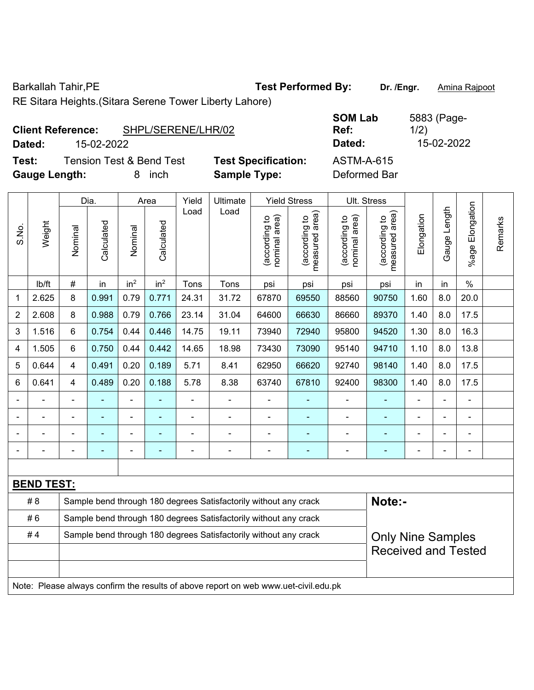Barkallah Tahir,PE **Test Performed By: Dr. /Engr.** Amina Rajpoot

RE Sitara Heights.(Sitara Serene Tower Liberty Lahore)

|                      | <b>Client Reference:</b> | SHPL/SERENE/LHR/02                  |                            | <b>SOM Lab</b><br>Ref: | 5883 (Page-<br>1/2) |
|----------------------|--------------------------|-------------------------------------|----------------------------|------------------------|---------------------|
| Dated:               | 15-02-2022               |                                     |                            | Dated:                 | 15-02-2022          |
| Test:                |                          | <b>Tension Test &amp; Bend Test</b> | <b>Test Specification:</b> | ASTM-A-615             |                     |
| <b>Gauge Length:</b> |                          | inch                                | <b>Sample Type:</b>        | Deformed Bar           |                     |

| <b>SOM Lab</b><br>Ref: | 5883 (Page-<br>1/2) |
|------------------------|---------------------|
| Dated:                 | 15-02-2022          |
| ACTMA A CAE            |                     |

|       |                   |                         | Dia.           |                 | Area            | Yield          | Ultimate                                                                            |                                | <b>Yield Stress</b>             |                                | Ult. Stress                     |                |              |                           |         |
|-------|-------------------|-------------------------|----------------|-----------------|-----------------|----------------|-------------------------------------------------------------------------------------|--------------------------------|---------------------------------|--------------------------------|---------------------------------|----------------|--------------|---------------------------|---------|
| S.No. | Weight            | Nominal                 | Calculated     | Nominal         | Calculated      | Load           | Load                                                                                | nominal area)<br>(according to | (according to<br>measured area) | (according to<br>nominal area) | measured area)<br>(according to | Elongation     | Gauge Length | Elongation<br>$%$ age $ $ | Remarks |
|       | lb/ft             | $\#$                    | in             | in <sup>2</sup> | in <sup>2</sup> | Tons           | Tons                                                                                | psi                            | psi                             | psi                            | psi                             | in             | in           | $\%$                      |         |
| 1     | 2.625             | 8                       | 0.991          | 0.79            | 0.771           | 24.31          | 31.72                                                                               | 67870                          | 69550                           | 88560                          | 90750                           | 1.60           | 8.0          | 20.0                      |         |
| 2     | 2.608             | 8                       | 0.988          | 0.79            | 0.766           | 23.14          | 31.04                                                                               | 64600                          | 66630                           | 86660                          | 89370                           | 1.40           | 8.0          | 17.5                      |         |
| 3     | 1.516             | $6\phantom{a}$          | 0.754          | 0.44            | 0.446           | 14.75          | 19.11                                                                               | 73940                          | 72940                           | 95800                          | 94520                           | 1.30           | 8.0          | 16.3                      |         |
| 4     | 1.505             | $6\phantom{a}$          | 0.750          | 0.44            | 0.442           | 14.65          | 18.98                                                                               | 73430                          | 73090                           | 95140                          | 94710                           | 1.10           | 8.0          | 13.8                      |         |
| 5     | 0.644             | $\overline{\mathbf{4}}$ | 0.491          | 0.20            | 0.189           | 5.71           | 8.41                                                                                | 62950                          | 66620                           | 92740                          | 98140                           | 1.40           | 8.0          | 17.5                      |         |
| 6     | 0.641             | $\overline{4}$          | 0.489          | 0.20            | 0.188           | 5.78           | 8.38                                                                                | 63740                          | 67810                           | 92400                          | 98300                           | 1.40           | 8.0          | 17.5                      |         |
|       |                   |                         |                |                 |                 | $\blacksquare$ |                                                                                     |                                |                                 |                                |                                 |                |              | ä,                        |         |
|       |                   | $\overline{a}$          | ÷              | ÷               | ÷               | $\blacksquare$ | $\blacksquare$                                                                      | ÷,                             | $\blacksquare$                  | ÷                              | $\blacksquare$                  | $\blacksquare$ | ÷,           | $\overline{\phantom{a}}$  |         |
|       |                   |                         | ۰              |                 |                 |                |                                                                                     | $\blacksquare$                 | $\blacksquare$                  | $\overline{\phantom{a}}$       |                                 |                | -            | $\blacksquare$            |         |
|       |                   | $\blacksquare$          | $\blacksquare$ | ÷               | ٠               |                | $\blacksquare$                                                                      | ÷,                             | ÷                               | ÷                              | $\blacksquare$                  | $\blacksquare$ | ÷            | $\overline{\phantom{a}}$  |         |
|       |                   |                         |                |                 |                 |                |                                                                                     |                                |                                 |                                |                                 |                |              |                           |         |
|       | <b>BEND TEST:</b> |                         |                |                 |                 |                |                                                                                     |                                |                                 |                                |                                 |                |              |                           |         |
|       | # 8               |                         |                |                 |                 |                | Sample bend through 180 degrees Satisfactorily without any crack                    |                                |                                 |                                | Note:-                          |                |              |                           |         |
|       | #6                |                         |                |                 |                 |                | Sample bend through 180 degrees Satisfactorily without any crack                    |                                |                                 |                                |                                 |                |              |                           |         |
|       | #4                |                         |                |                 |                 |                | Sample bend through 180 degrees Satisfactorily without any crack                    |                                |                                 |                                | <b>Only Nine Samples</b>        |                |              |                           |         |
|       |                   |                         |                |                 |                 |                |                                                                                     |                                |                                 |                                | <b>Received and Tested</b>      |                |              |                           |         |
|       |                   |                         |                |                 |                 |                |                                                                                     |                                |                                 |                                |                                 |                |              |                           |         |
|       |                   |                         |                |                 |                 |                | Note: Please always confirm the results of above report on web www.uet-civil.edu.pk |                                |                                 |                                |                                 |                |              |                           |         |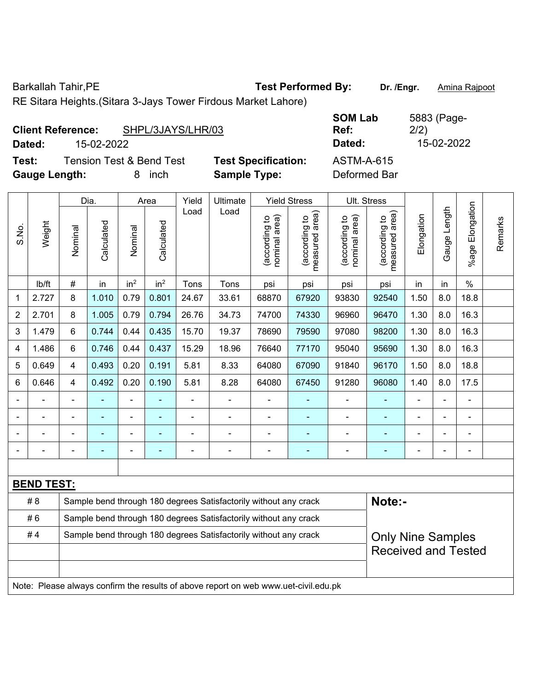Barkallah Tahir, PE **Test Performed By:** Dr. /Engr. **Amina Rajpoot Test Performed By:** 

RE Sitara Heights.(Sitara 3-Jays Tower Firdous Market Lahore)

| <b>Client Reference:</b>                                             | SHPL/3JAYS/LHR/03 |                                                   | <b>SOM Lab</b><br>Ref:            | 5883 (Page-<br>2/2) |
|----------------------------------------------------------------------|-------------------|---------------------------------------------------|-----------------------------------|---------------------|
| 15-02-2022<br>Dated:                                                 |                   |                                                   | Dated:                            | 15-02-2022          |
| <b>Tension Test &amp; Bend Test</b><br>Test:<br><b>Gauge Length:</b> | inch<br>8         | <b>Test Specification:</b><br><b>Sample Type:</b> | <b>ASTM-A-615</b><br>Deformed Bar |                     |

|                |                   |                | Dia.       |                 | Area            | Yield | Ultimate                                                                            |                                | <b>Yield Stress</b>             |                                | Ult. Stress                     |                |              |                       |         |
|----------------|-------------------|----------------|------------|-----------------|-----------------|-------|-------------------------------------------------------------------------------------|--------------------------------|---------------------------------|--------------------------------|---------------------------------|----------------|--------------|-----------------------|---------|
| S.No.          | Weight            | Nominal        | Calculated | Nominal         | Calculated      | Load  | Load                                                                                | nominal area)<br>(according to | (according to<br>measured area) | nominal area)<br>(according to | (according to<br>measured area) | Elongation     | Gauge Length | Elongation<br>$%$ age | Remarks |
|                | lb/ft             | $\#$           | in         | in <sup>2</sup> | in <sup>2</sup> | Tons  | Tons                                                                                | psi                            | psi                             | psi                            | psi                             | in             | in           | $\%$                  |         |
| 1              | 2.727             | 8              | 1.010      | 0.79            | 0.801           | 24.67 | 33.61                                                                               | 68870                          | 67920                           | 93830                          | 92540                           | 18.8           |              |                       |         |
| $\overline{2}$ | 2.701             | 8              | 1.005      | 0.79            | 0.794           | 26.76 | 34.73                                                                               | 74700                          | 74330                           | 96960                          | 96470                           | 1.30           | 8.0          | 16.3                  |         |
| 3              | 1.479             | 6              | 0.744      | 0.44            | 0.435           | 15.70 | 19.37                                                                               | 78690                          | 79590                           | 97080                          | 98200                           | 1.30           | 8.0          | 16.3                  |         |
| 4              | 1.486             | 6              | 0.746      | 0.44            | 0.437           | 15.29 | 18.96                                                                               | 76640                          | 77170                           | 95040                          | 95690                           | 1.30           | 8.0          | 16.3                  |         |
| 5              | 0.649             | $\overline{4}$ | 0.493      | 0.20            | 0.191           | 5.81  | 8.33                                                                                | 64080                          | 67090                           | 91840                          | 96170                           | 1.50           | 8.0          | 18.8                  |         |
| 6              | 0.646             | 4              | 0.492      | 0.20            | 0.190           | 5.81  | 8.28                                                                                | 64080                          | 67450                           | 91280                          | 96080                           | 1.40           | 8.0          | 17.5                  |         |
|                |                   |                |            | $\overline{a}$  |                 |       |                                                                                     | $\blacksquare$                 | ä,                              | ä,                             |                                 | $\blacksquare$ |              |                       |         |
|                |                   |                |            | ÷               |                 |       |                                                                                     |                                |                                 |                                |                                 |                | ä,           |                       |         |
|                | $\blacksquare$    |                |            | $\blacksquare$  |                 |       | $\blacksquare$                                                                      |                                | $\blacksquare$                  | $\blacksquare$                 |                                 |                | ÷            | $\blacksquare$        |         |
|                | ÷                 |                | ä,         | $\blacksquare$  | ÷               |       | ÷                                                                                   | ÷,                             | $\blacksquare$                  | ÷                              | ٠                               | ä,             | -            | $\blacksquare$        |         |
|                |                   |                |            |                 |                 |       |                                                                                     |                                |                                 |                                |                                 |                |              |                       |         |
|                | <b>BEND TEST:</b> |                |            |                 |                 |       |                                                                                     |                                |                                 |                                |                                 |                |              |                       |         |
|                | # 8               |                |            |                 |                 |       | Sample bend through 180 degrees Satisfactorily without any crack                    |                                |                                 |                                | Note:-                          |                |              |                       |         |
|                | #6                |                |            |                 |                 |       | Sample bend through 180 degrees Satisfactorily without any crack                    |                                |                                 |                                |                                 |                |              |                       |         |
|                | #4                |                |            |                 |                 |       | Sample bend through 180 degrees Satisfactorily without any crack                    |                                |                                 |                                | <b>Only Nine Samples</b>        |                |              |                       |         |
|                |                   |                |            |                 |                 |       |                                                                                     |                                |                                 |                                | <b>Received and Tested</b>      |                |              |                       |         |
|                |                   |                |            |                 |                 |       |                                                                                     |                                |                                 |                                |                                 |                |              |                       |         |
|                |                   |                |            |                 |                 |       | Note: Please always confirm the results of above report on web www.uet-civil.edu.pk |                                |                                 |                                |                                 |                |              |                       |         |